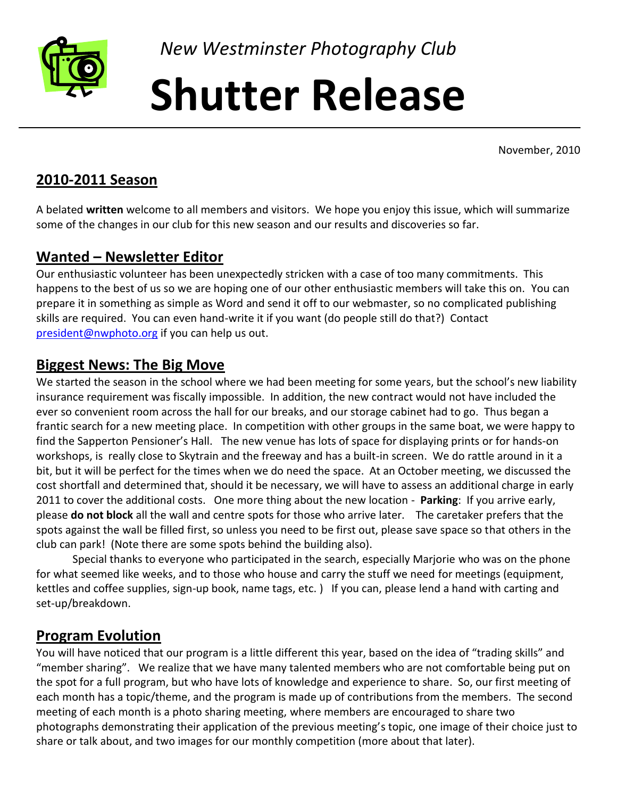

*New Westminster Photography Club*

# **Shutter Release**

November, 2010

### **2010-2011 Season**

A belated **written** welcome to all members and visitors. We hope you enjoy this issue, which will summarize some of the changes in our club for this new season and our results and discoveries so far.

# **Wanted – Newsletter Editor**

Our enthusiastic volunteer has been unexpectedly stricken with a case of too many commitments. This happens to the best of us so we are hoping one of our other enthusiastic members will take this on. You can prepare it in something as simple as Word and send it off to our webmaster, so no complicated publishing skills are required. You can even hand-write it if you want (do people still do that?) Contact [president@nwphoto.org](mailto:president@nwphoto.org) if you can help us out.

# **Biggest News: The Big Move**

We started the season in the school where we had been meeting for some years, but the school's new liability insurance requirement was fiscally impossible. In addition, the new contract would not have included the ever so convenient room across the hall for our breaks, and our storage cabinet had to go. Thus began a frantic search for a new meeting place. In competition with other groups in the same boat, we were happy to find the Sapperton Pensioner's Hall. The new venue has lots of space for displaying prints or for hands-on workshops, is really close to Skytrain and the freeway and has a built-in screen. We do rattle around in it a bit, but it will be perfect for the times when we do need the space. At an October meeting, we discussed the cost shortfall and determined that, should it be necessary, we will have to assess an additional charge in early 2011 to cover the additional costs. One more thing about the new location - **Parking**: If you arrive early, please **do not block** all the wall and centre spots for those who arrive later. The caretaker prefers that the spots against the wall be filled first, so unless you need to be first out, please save space so that others in the club can park! (Note there are some spots behind the building also).

Special thanks to everyone who participated in the search, especially Marjorie who was on the phone for what seemed like weeks, and to those who house and carry the stuff we need for meetings (equipment, kettles and coffee supplies, sign-up book, name tags, etc. ) If you can, please lend a hand with carting and set-up/breakdown.

# **Program Evolution**

You will have noticed that our program is a little different this year, based on the idea of "trading skills" and "member sharing". We realize that we have many talented members who are not comfortable being put on the spot for a full program, but who have lots of knowledge and experience to share. So, our first meeting of each month has a topic/theme, and the program is made up of contributions from the members. The second meeting of each month is a photo sharing meeting, where members are encouraged to share two photographs demonstrating their application of the previous meeting's topic, one image of their choice just to share or talk about, and two images for our monthly competition (more about that later).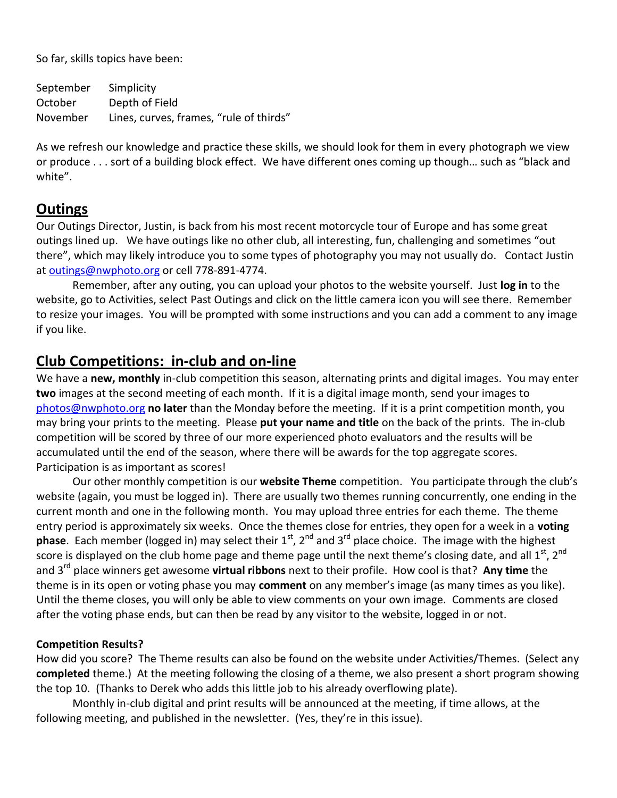So far, skills topics have been:

September Simplicity October Depth of Field November Lines, curves, frames, "rule of thirds"

As we refresh our knowledge and practice these skills, we should look for them in every photograph we view or produce . . . sort of a building block effect. We have different ones coming up though… such as "black and white".

# **Outings**

Our Outings Director, Justin, is back from his most recent motorcycle tour of Europe and has some great outings lined up. We have outings like no other club, all interesting, fun, challenging and sometimes "out there", which may likely introduce you to some types of photography you may not usually do. Contact Justin at [outings@nwphoto.org](mailto:outings@nwphoto.org) or cell 778-891-4774.

Remember, after any outing, you can upload your photos to the website yourself. Just **log in** to the website, go to Activities, select Past Outings and click on the little camera icon you will see there. Remember to resize your images. You will be prompted with some instructions and you can add a comment to any image if you like.

# **Club Competitions: in-club and on-line**

We have a **new, monthly** in-club competition this season, alternating prints and digital images. You may enter **two** images at the second meeting of each month. If it is a digital image month, send your images to [photos@nwphoto.org](mailto:photos@nwphoto.org) **no later** than the Monday before the meeting. If it is a print competition month, you may bring your prints to the meeting. Please **put your name and title** on the back of the prints. The in-club competition will be scored by three of our more experienced photo evaluators and the results will be accumulated until the end of the season, where there will be awards for the top aggregate scores. Participation is as important as scores!

Our other monthly competition is our **website Theme** competition. You participate through the club's website (again, you must be logged in). There are usually two themes running concurrently, one ending in the current month and one in the following month. You may upload three entries for each theme. The theme entry period is approximately six weeks. Once the themes close for entries, they open for a week in a **voting phase**. Each member (logged in) may select their 1<sup>st</sup>, 2<sup>nd</sup> and 3<sup>rd</sup> place choice. The image with the highest score is displayed on the club home page and theme page until the next theme's closing date, and all  $1^{st}$ ,  $2^{nd}$ and 3<sup>rd</sup> place winners get awesome **virtual ribbons** next to their profile. How cool is that? Any time the theme is in its open or voting phase you may **comment** on any member's image (as many times as you like). Until the theme closes, you will only be able to view comments on your own image. Comments are closed after the voting phase ends, but can then be read by any visitor to the website, logged in or not.

#### **Competition Results?**

How did you score? The Theme results can also be found on the website under Activities/Themes. (Select any **completed** theme.) At the meeting following the closing of a theme, we also present a short program showing the top 10. (Thanks to Derek who adds this little job to his already overflowing plate).

Monthly in-club digital and print results will be announced at the meeting, if time allows, at the following meeting, and published in the newsletter. (Yes, they're in this issue).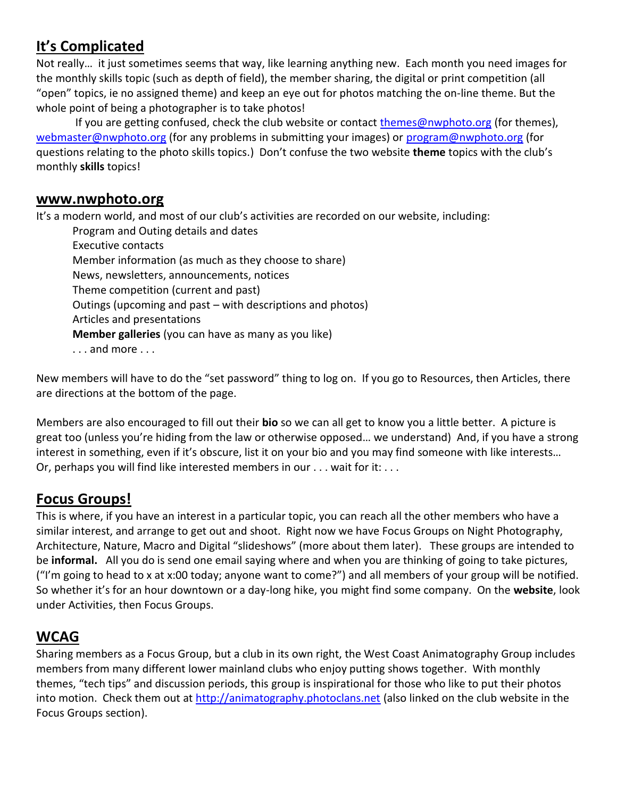# **It's Complicated**

Not really… it just sometimes seems that way, like learning anything new. Each month you need images for the monthly skills topic (such as depth of field), the member sharing, the digital or print competition (all "open" topics, ie no assigned theme) and keep an eye out for photos matching the on-line theme. But the whole point of being a photographer is to take photos!

If you are getting confused, check the club website or contact [themes@nwphoto.org](mailto:themes@nwphoto.org) (for themes), [webmaster@nwphoto.org](mailto:webmaster@nwphoto.org) (for any problems in submitting your images) or [program@nwphoto.org](mailto:program@nwphoto.org) (for questions relating to the photo skills topics.) Don't confuse the two website **theme** topics with the club's monthly **skills** topics!

#### **www.nwphoto.org**

It's a modern world, and most of our club's activities are recorded on our website, including:

Program and Outing details and dates Executive contacts Member information (as much as they choose to share) News, newsletters, announcements, notices Theme competition (current and past) Outings (upcoming and past – with descriptions and photos) Articles and presentations **Member galleries** (you can have as many as you like) . . . and more . . .

New members will have to do the "set password" thing to log on. If you go to Resources, then Articles, there are directions at the bottom of the page.

Members are also encouraged to fill out their **bio** so we can all get to know you a little better. A picture is great too (unless you're hiding from the law or otherwise opposed… we understand) And, if you have a strong interest in something, even if it's obscure, list it on your bio and you may find someone with like interests… Or, perhaps you will find like interested members in our . . . wait for it: . . .

# **Focus Groups!**

This is where, if you have an interest in a particular topic, you can reach all the other members who have a similar interest, and arrange to get out and shoot. Right now we have Focus Groups on Night Photography, Architecture, Nature, Macro and Digital "slideshows" (more about them later). These groups are intended to be **informal.** All you do is send one email saying where and when you are thinking of going to take pictures, ("I'm going to head to x at x:00 today; anyone want to come?") and all members of your group will be notified. So whether it's for an hour downtown or a day-long hike, you might find some company. On the **website**, look under Activities, then Focus Groups.

# **WCAG**

Sharing members as a Focus Group, but a club in its own right, the West Coast Animatography Group includes members from many different lower mainland clubs who enjoy putting shows together. With monthly themes, "tech tips" and discussion periods, this group is inspirational for those who like to put their photos into motion. Check them out at [http://animatography.photoclans.net](http://animatography.photoclans.net/) (also linked on the club website in the Focus Groups section).